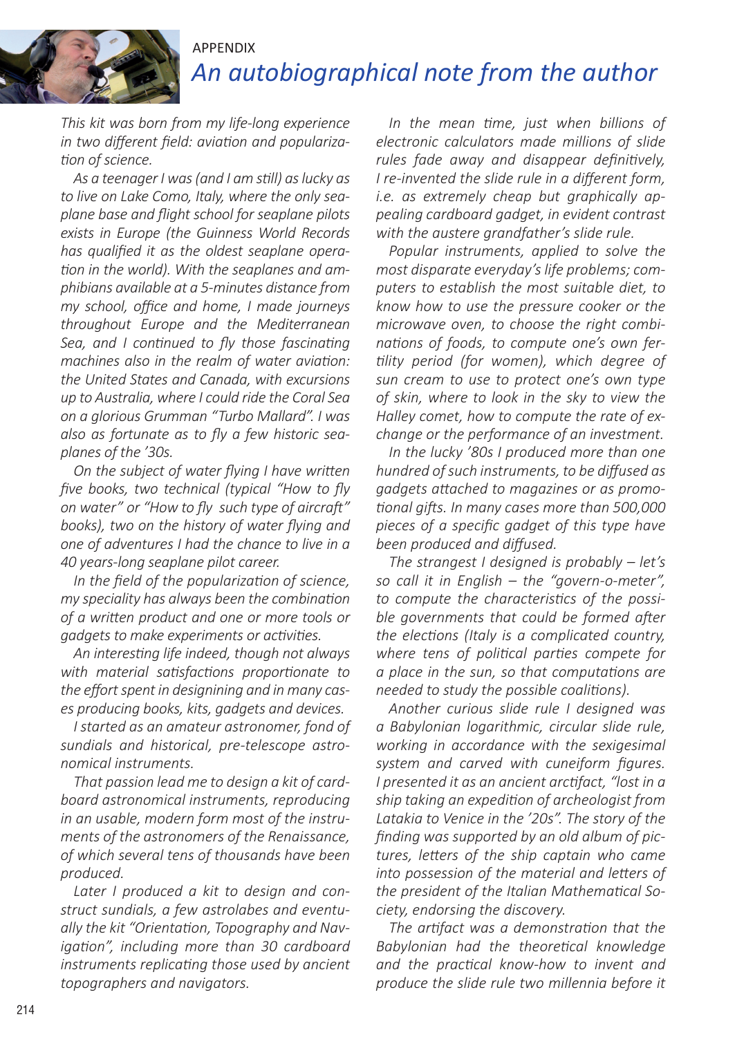

## *An autobiographical note from the author* APPENDIX

*This kit was born from my life-long experience in two different field: aviation and popularization of science.*

*As a teenager I was (and I am still) as lucky as to live on Lake Como, Italy, where the only seaplane base and flight school for seaplane pilots exists in Europe (the Guinness World Records has qualified it as the oldest seaplane operation in the world). With the seaplanes and amphibians available at a 5-minutes distance from my school, office and home, I made journeys throughout Europe and the Mediterranean Sea, and I continued to fly those fascinating machines also in the realm of water aviation: the United States and Canada, with excursions up to Australia, where I could ride the Coral Sea on a glorious Grumman "Turbo Mallard". I was also as fortunate as to fly a few historic seaplanes of the '30s.*

*On the subject of water flying I have written five books, two technical (typical "How to fly on water" or "How to fly such type of aircraft" books), two on the history of water flying and one of adventures I had the chance to live in a 40 years-long seaplane pilot career.*

*In the field of the popularization of science, my speciality has always been the combination of a written product and one or more tools or gadgets to make experiments or activities.*

*An interesting life indeed, though not always with material satisfactions proportionate to the effort spent in designining and in many cases producing books, kits, gadgets and devices.*

*I started as an amateur astronomer, fond of sundials and historical, pre-telescope astronomical instruments.* 

*That passion lead me to design a kit of cardboard astronomical instruments, reproducing in an usable, modern form most of the instruments of the astronomers of the Renaissance, of which several tens of thousands have been produced.*

*Later I produced a kit to design and construct sundials, a few astrolabes and eventually the kit "Orientation, Topography and Navigation", including more than 30 cardboard instruments replicating those used by ancient topographers and navigators.*

*In the mean time, just when billions of electronic calculators made millions of slide rules fade away and disappear definitively, I re-invented the slide rule in a different form, i.e. as extremely cheap but graphically appealing cardboard gadget, in evident contrast with the austere grandfather's slide rule.* 

*Popular instruments, applied to solve the most disparate everyday's life problems; computers to establish the most suitable diet, to know how to use the pressure cooker or the microwave oven, to choose the right combinations of foods, to compute one's own fertility period (for women), which degree of sun cream to use to protect one's own type of skin, where to look in the sky to view the Halley comet, how to compute the rate of exchange or the performance of an investment.*

*In the lucky '80s I produced more than one hundred of such instruments, to be diffused as gadgets attached to magazines or as promotional gifts. In many cases more than 500,000 pieces of a specific gadget of this type have been produced and diffused.*

*The strangest I designed is probably – let's so call it in English – the "govern-o-meter", to compute the characteristics of the possible governments that could be formed after the elections (Italy is a complicated country, where tens of political parties compete for a place in the sun, so that computations are needed to study the possible coalitions).*

*Another curious slide rule I designed was a Babylonian logarithmic, circular slide rule, working in accordance with the sexigesimal system and carved with cuneiform figures. I presented it as an ancient arctifact, "lost in a ship taking an expedition of archeologist from Latakia to Venice in the '20s". The story of the finding was supported by an old album of pictures, letters of the ship captain who came into possession of the material and letters of the president of the Italian Mathematical Society, endorsing the discovery.* 

*The artifact was a demonstration that the Babylonian had the theoretical knowledge and the practical know-how to invent and produce the slide rule two millennia before it*